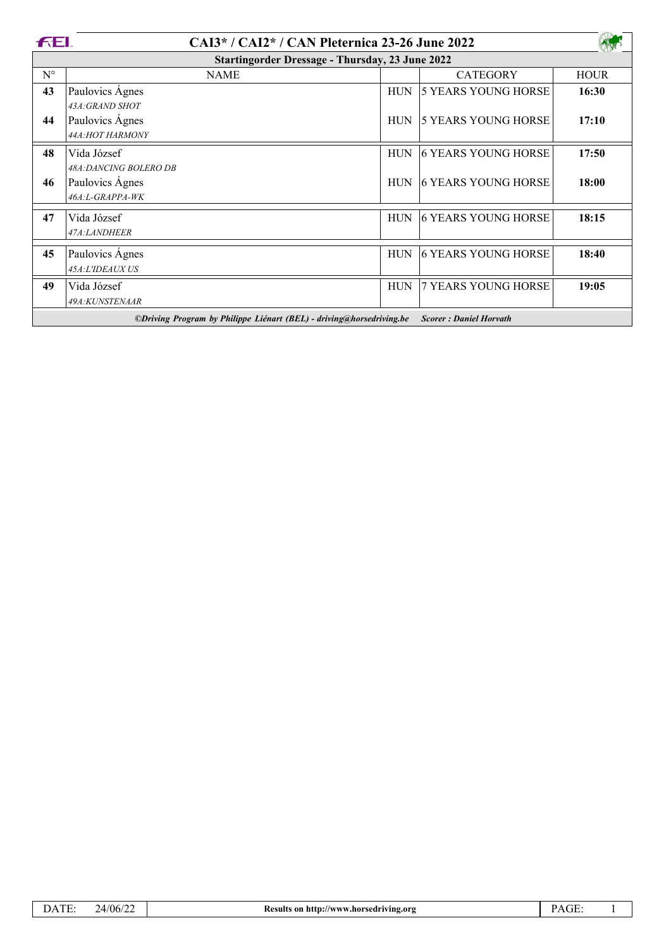| FEI.<br>CAI3*/CAI2*/CAN Pleternica 23-26 June 2022                   |                        |            |                               |             |  |  |  |
|----------------------------------------------------------------------|------------------------|------------|-------------------------------|-------------|--|--|--|
| <b>Startingorder Dressage - Thursday, 23 June 2022</b>               |                        |            |                               |             |  |  |  |
| $N^{\circ}$                                                          | <b>NAME</b>            |            | <b>CATEGORY</b>               | <b>HOUR</b> |  |  |  |
| 43                                                                   | Paulovics Agnes        | <b>HUN</b> | 5 YEARS YOUNG HORSE           | 16:30       |  |  |  |
|                                                                      | 43A: GRAND SHOT        |            |                               |             |  |  |  |
| 44                                                                   | Paulovics Ágnes        | <b>HUN</b> | 5 YEARS YOUNG HORSE           | 17:10       |  |  |  |
|                                                                      | 44A:HOT HARMONY        |            |                               |             |  |  |  |
| 48                                                                   | Vida József            | <b>HUN</b> | <b>6 YEARS YOUNG HORSE</b>    | 17:50       |  |  |  |
|                                                                      | 48A: DANCING BOLERO DB |            |                               |             |  |  |  |
| 46                                                                   | Paulovics Agnes        | <b>HUN</b> | <b>6 YEARS YOUNG HORSE</b>    | 18:00       |  |  |  |
|                                                                      | 46A:L-GRAPPA-WK        |            |                               |             |  |  |  |
| 47                                                                   | Vida József            | <b>HUN</b> | 6 YEARS YOUNG HORSE           | 18:15       |  |  |  |
|                                                                      | 47A:LANDHEER           |            |                               |             |  |  |  |
|                                                                      |                        |            |                               |             |  |  |  |
| 45                                                                   | Paulovics Agnes        | <b>HUN</b> | <b>6 YEARS YOUNG HORSE</b>    | 18:40       |  |  |  |
|                                                                      | 45A:L'IDEAUX US        |            |                               |             |  |  |  |
| 49                                                                   | Vida József            | <b>HUN</b> | 7 YEARS YOUNG HORSE           | 19:05       |  |  |  |
|                                                                      | 49A:KUNSTENAAR         |            |                               |             |  |  |  |
| ©Driving Program by Philippe Liénart (BEL) - driving@horsedriving.be |                        |            | <b>Scorer: Daniel Horvath</b> |             |  |  |  |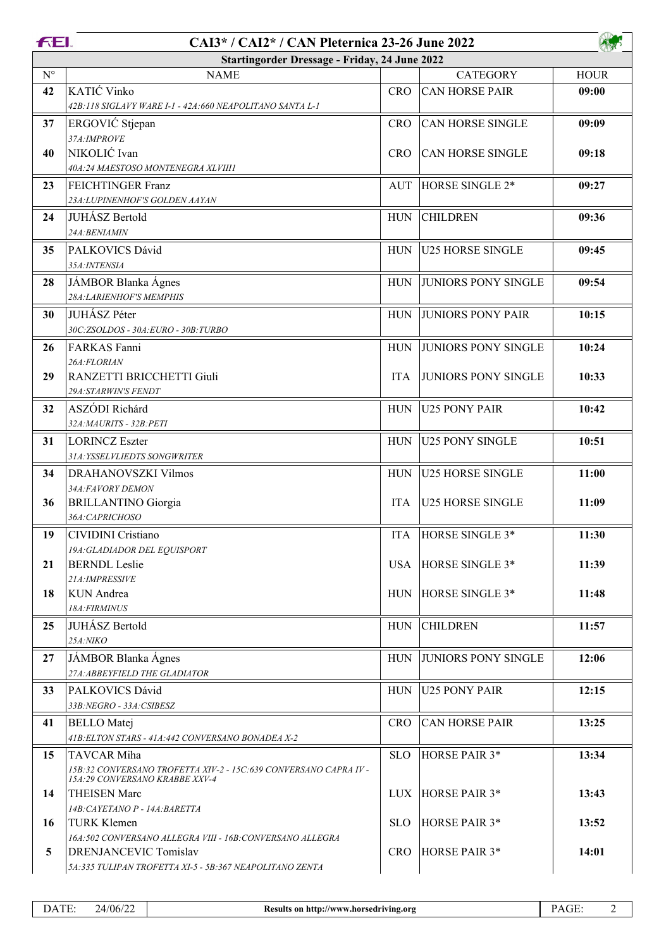| <b>FEI.</b>        | CAI3* / CAI2* / CAN Pleternica 23-26 June 2022                                                                    |            |                            |             |  |  |  |
|--------------------|-------------------------------------------------------------------------------------------------------------------|------------|----------------------------|-------------|--|--|--|
|                    | <b>Startingorder Dressage - Friday, 24 June 2022</b>                                                              |            |                            |             |  |  |  |
| $\mathrm{N}^\circ$ | <b>NAME</b>                                                                                                       |            | <b>CATEGORY</b>            | <b>HOUR</b> |  |  |  |
| 42                 | KATIĆ Vinko<br>42B:118 SIGLAVY WARE I-1 - 42A:660 NEAPOLITANO SANTA L-1                                           | <b>CRO</b> | <b>CAN HORSE PAIR</b>      | 09:00       |  |  |  |
| 37                 | ERGOVIĆ Stjepan<br>37A:IMPROVE                                                                                    | <b>CRO</b> | <b>CAN HORSE SINGLE</b>    | 09:09       |  |  |  |
| 40                 | NIKOLIĆ Ivan<br>40A:24 MAESTOSO MONTENEGRA XLVIII1                                                                | <b>CRO</b> | <b>CAN HORSE SINGLE</b>    | 09:18       |  |  |  |
| 23                 | FEICHTINGER Franz<br>23A: LUPINENHOF'S GOLDEN AAYAN                                                               | AUT        | HORSE SINGLE 2*            | 09:27       |  |  |  |
| 24                 | JUHÁSZ Bertold<br>24A:BENIAMIN                                                                                    | <b>HUN</b> | <b>CHILDREN</b>            | 09:36       |  |  |  |
| 35                 | PALKOVICS Dávid<br>35A: INTENSIA                                                                                  | <b>HUN</b> | <b>U25 HORSE SINGLE</b>    | 09:45       |  |  |  |
| 28                 | JÁMBOR Blanka Ágnes<br>28A:LARIENHOF'S MEMPHIS                                                                    | <b>HUN</b> | <b>JUNIORS PONY SINGLE</b> | 09:54       |  |  |  |
| 30                 | <b>JUHÁSZ Péter</b><br>30C:ZSOLDOS - 30A:EURO - 30B:TURBO                                                         | <b>HUN</b> | <b>JUNIORS PONY PAIR</b>   | 10:15       |  |  |  |
| 26                 | FARKAS Fanni<br>26A:FLORIAN                                                                                       | <b>HUN</b> | <b>JUNIORS PONY SINGLE</b> | 10:24       |  |  |  |
| 29                 | RANZETTI BRICCHETTI Giuli<br>29A:STARWIN'S FENDT                                                                  | <b>ITA</b> | <b>JUNIORS PONY SINGLE</b> | 10:33       |  |  |  |
| 32                 | ASZÓDI Richárd<br>32A:MAURITS - 32B:PETI                                                                          | <b>HUN</b> | U25 PONY PAIR              | 10:42       |  |  |  |
| 31                 | <b>LORINCZ Eszter</b><br>31A: YSSELVLIEDTS SONGWRITER                                                             | <b>HUN</b> | U25 PONY SINGLE            | 10:51       |  |  |  |
| 34                 | DRAHANOVSZKI Vilmos<br>34A:FAVORY DEMON                                                                           | <b>HUN</b> | <b>U25 HORSE SINGLE</b>    | 11:00       |  |  |  |
| 36                 | <b>BRILLANTINO Giorgia</b><br>36A:CAPRICHOSO                                                                      | <b>ITA</b> | <b>U25 HORSE SINGLE</b>    | 11:09       |  |  |  |
| 19                 | CIVIDINI Cristiano<br>19A: GLADIADOR DEL EQUISPORT                                                                | ITA        | HORSE SINGLE 3*            | 11:30       |  |  |  |
| 21                 | <b>BERNDL</b> Leslie<br>21A: IMPRESSIVE                                                                           | USA        | HORSE SINGLE 3*            | 11:39       |  |  |  |
| 18                 | KUN Andrea<br>18A: FIRMINUS                                                                                       | <b>HUN</b> | HORSE SINGLE 3*            | 11:48       |  |  |  |
| 25                 | JUHÁSZ Bertold<br>25A:NIKO                                                                                        | <b>HUN</b> | <b>CHILDREN</b>            | 11:57       |  |  |  |
| 27                 | JÁMBOR Blanka Ágnes<br>27A: ABBEYFIELD THE GLADIATOR                                                              | <b>HUN</b> | <b>JUNIORS PONY SINGLE</b> | 12:06       |  |  |  |
| 33                 | PALKOVICS Dávid<br>33B:NEGRO - 33A:CSIBESZ                                                                        | <b>HUN</b> | <b>U25 PONY PAIR</b>       | 12:15       |  |  |  |
| 41                 | <b>BELLO</b> Matej<br>41B: ELTON STARS - 41A: 442 CONVERSANO BONADEA X-2                                          | <b>CRO</b> | <b>CAN HORSE PAIR</b>      | 13:25       |  |  |  |
| 15                 | TAVCAR Miha<br>15B:32 CONVERSANO TROFETTA XIV-2 - 15C:639 CONVERSANO CAPRA IV -<br>15A:29 CONVERSANO KRABBE XXV-4 | <b>SLO</b> | HORSE PAIR 3*              | 13:34       |  |  |  |
| 14                 | <b>THEISEN Marc</b><br>14B: CAYETANO P - 14A: BARETTA                                                             | LUX -      | HORSE PAIR 3*              | 13:43       |  |  |  |
| 16                 | <b>TURK Klemen</b><br>16A:502 CONVERSANO ALLEGRA VIII - 16B:CONVERSANO ALLEGRA                                    | <b>SLO</b> | HORSE PAIR 3*              | 13:52       |  |  |  |
| 5                  | <b>DRENJANCEVIC Tomislav</b><br>5A:335 TULIPAN TROFETTA XI-5 - 5B:367 NEAPOLITANO ZENTA                           | <b>CRO</b> | HORSE PAIR 3*              | 14:01       |  |  |  |